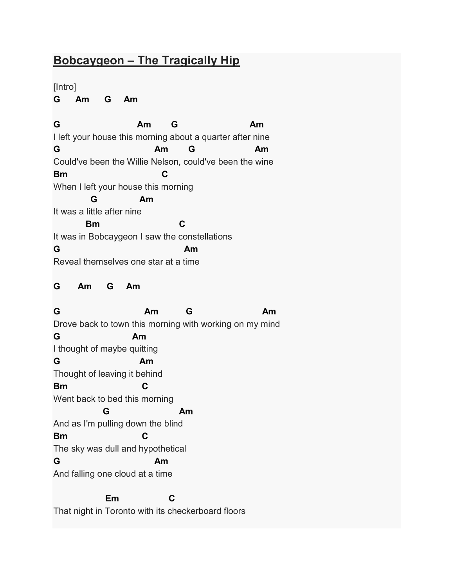## Bobcaygeon – The Tragically Hip

[Intro]

G Am G Am

G Am G Am I left your house this morning about a quarter after nine G Am G Am Could've been the Willie Nelson, could've been the wine Bm C When I left your house this morning G Am It was a little after nine **Bm** C It was in Bobcaygeon I saw the constellations G Am Reveal themselves one star at a time G Am G Am G Am G Am Drove back to town this morning with working on my mind G Am I thought of maybe quitting G Am Thought of leaving it behind Bm C Went back to bed this morning **G** Am And as I'm pulling down the blind Bm C The sky was dull and hypothetical G Am And falling one cloud at a time Em C That night in Toronto with its checkerboard floors